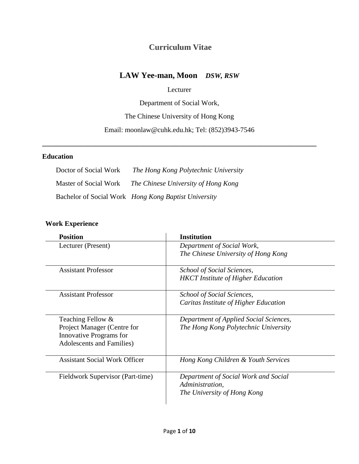## **Curriculum Vitae**

# **LAW Yee-man, Moon** *DSW, RSW*

#### Lecturer

Department of Social Work,

The Chinese University of Hong Kong

Email: moonlaw@cuhk.edu.hk; Tel: (852)3943-7546

**\_\_\_\_\_\_\_\_\_\_\_\_\_\_\_\_\_\_\_\_\_\_\_\_\_\_\_\_\_\_\_\_\_\_\_\_\_\_\_\_\_\_\_\_\_\_\_\_\_\_\_\_\_\_\_\_\_\_\_\_\_\_\_\_\_\_\_\_\_\_\_\_\_\_\_\_\_\_**

#### **Education**

| Doctor of Social Work | The Hong Kong Polytechnic University                 |
|-----------------------|------------------------------------------------------|
| Master of Social Work | The Chinese University of Hong Kong                  |
|                       | Bachelor of Social Work Hong Kong Baptist University |

## **Work Experience**

| <b>Position</b>                      | <b>Institution</b>                        |
|--------------------------------------|-------------------------------------------|
| Lecturer (Present)                   | Department of Social Work,                |
|                                      | The Chinese University of Hong Kong       |
| Assistant Professor                  | School of Social Sciences,                |
|                                      | <b>HKCT</b> Institute of Higher Education |
| <b>Assistant Professor</b>           | School of Social Sciences,                |
|                                      | Caritas Institute of Higher Education     |
| Teaching Fellow &                    | Department of Applied Social Sciences,    |
| Project Manager (Centre for          | The Hong Kong Polytechnic University      |
| <b>Innovative Programs for</b>       |                                           |
| <b>Adolescents and Families</b> )    |                                           |
| <b>Assistant Social Work Officer</b> | Hong Kong Children & Youth Services       |
| Fieldwork Supervisor (Part-time)     | Department of Social Work and Social      |
|                                      | Administration,                           |
|                                      | The University of Hong Kong               |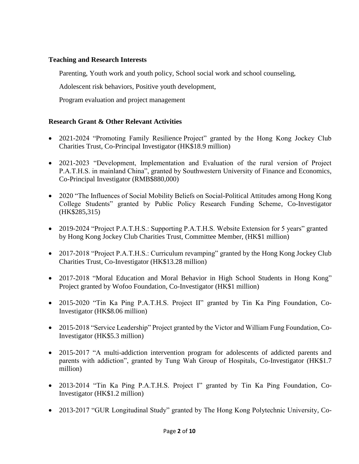#### **Teaching and Research Interests**

Parenting, Youth work and youth policy, School social work and school counseling,

Adolescent risk behaviors, Positive youth development,

Program evaluation and project management

### **Research Grant & Other Relevant Activities**

- 2021-2024 "Promoting Family Resilience Project" granted by the Hong Kong Jockey Club Charities Trust, Co-Principal Investigator (HK\$18.9 million)
- 2021-2023 "Development, Implementation and Evaluation of the rural version of Project P.A.T.H.S. in mainland China", granted by Southwestern University of Finance and Economics, Co-Principal Investigator (RMB\$880,000)
- 2020 "The Influences of Social Mobility Beliefs on Social-Political Attitudes among Hong Kong College Students" granted by Public Policy Research Funding Scheme, Co-Investigator (HK\$285,315)
- 2019-2024 "Project P.A.T.H.S.: Supporting P.A.T.H.S. Website Extension for 5 years" granted by Hong Kong Jockey Club Charities Trust, Committee Member, (HK\$1 million)
- 2017-2018 "Project P.A.T.H.S.: Curriculum revamping" granted by the Hong Kong Jockey Club Charities Trust, Co-Investigator (HK\$13.28 million)
- 2017-2018 "Moral Education and Moral Behavior in High School Students in Hong Kong" Project granted by Wofoo Foundation, Co-Investigator (HK\$1 million)
- 2015-2020 "Tin Ka Ping P.A.T.H.S. Project II" granted by Tin Ka Ping Foundation, Co-Investigator (HK\$8.06 million)
- 2015-2018 "Service Leadership" Project granted by the Victor and William Fung Foundation, Co-Investigator (HK\$5.3 million)
- 2015-2017 "A multi-addiction intervention program for adolescents of addicted parents and parents with addiction", granted by Tung Wah Group of Hospitals, Co-Investigator (HK\$1.7 million)
- 2013-2014 "Tin Ka Ping P.A.T.H.S. Project I" granted by Tin Ka Ping Foundation, Co-Investigator (HK\$1.2 million)
- 2013-2017 "GUR Longitudinal Study" granted by The Hong Kong Polytechnic University, Co-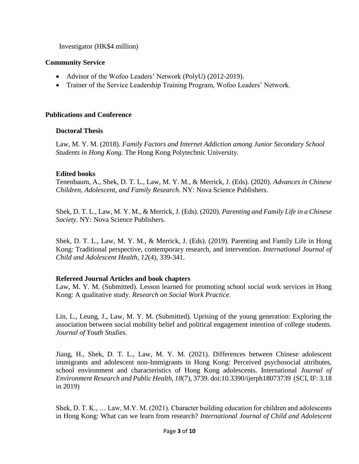Investigator (HK\$4 million)

#### **Community Service**

- Advisor of the Wofoo Leaders' Network (PolyU) (2012-2019).
- Trainer of the Service Leadership Training Program, Wofoo Leaders' Network.

#### **Publications and Conference**

#### **Doctoral Thesis**

Law, M. Y. M. (2018). *Family Factors and Internet Addiction among Junior Secondary School Students in Hong Kong*. The Hong Kong Polytechnic University.

#### **Edited books**

Tenenbaum, A., Shek, D. T. L., Law, M. Y. M., & Merrick, J. (Eds). (2020). *Advances in Chinese Children, Adolescent, and Family Research*. NY: Nova Science Publishers.

Shek, D. T. L., Law, M. Y. M., & Merrick, J. (Eds). (2020). *Parenting and Family Life in a Chinese Society*. NY: Nova Science Publishers.

Shek, D. T. L., Law, M. Y. M., & Merrick, J. (Eds). (2019). Parenting and Family Life in Hong Kong: Traditional perspective, contemporary research, and intervention. *International Journal of Child and Adolescent Health, 12*(4), 339-341.

#### **Refereed Journal Articles and book chapters**

Law, M. Y. M. (Submitted). Lesson learned for promoting school social work services in Hong Kong: A qualitative study. *Research on Social Work Practice.* 

Lin, L., Leung, J., Law, M. Y. M. (Submitted). Uprising of the young generation: Exploring the association between social mobility belief and political engagement intention of college students. *Journal of Youth Studies.*

Jiang, H., Shek, D. T. L., Law, M. Y. M. (2021). Differences between Chinese adolescent immigrants and adolescent non-Immigrants in Hong Kong: Perceived psychosocial attributes, school environment and characteristics of Hong Kong adolescents. International *Journal of Environment Research and Public Health, 18*(7), 3739. doi:10.3390/ijerph18073739 (SCI, IF: 3.18 in 2019)

Shek, D. T. K., … Law, M.Y. M. (2021). Character building education for children and adolescents in Hong Kong: What can we learn from research? *International Journal of Child and Adolescent*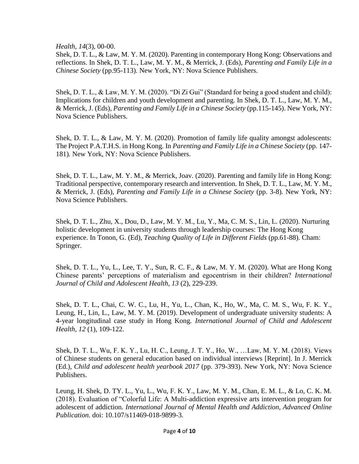*Health, 14*(3), 00-00.

Shek, D. T. L., & Law, M. Y. M. (2020). Parenting in contemporary Hong Kong: Observations and reflections. In Shek, D. T. L., Law, M. Y. M., & Merrick, J. (Eds), *Parenting and Family Life in a Chinese Society* (pp.95-113)*.* New York, NY: Nova Science Publishers.

Shek, D. T. L., & Law, M. Y. M. (2020). "Di Zi Gui" (Standard for being a good student and child): Implications for children and youth development and parenting. In Shek, D. T. L., Law, M. Y. M., & Merrick, J. (Eds), *Parenting and Family Life in a Chinese Society* (pp.115-145). New York, NY: Nova Science Publishers.

Shek, D. T. L., & Law, M. Y. M. (2020). Promotion of family life quality amongst adolescents: The Project P.A.T.H.S. in Hong Kong. In *Parenting and Family Life in a Chinese Society* (pp. 147- 181)*.* New York, NY: Nova Science Publishers.

Shek, D. T. L., Law, M. Y. M., & Merrick, Joav. (2020). Parenting and family life in Hong Kong: Traditional perspective, contemporary research and intervention. In Shek, D. T. L., Law, M. Y. M., & Merrick, J. (Eds), *Parenting and Family Life in a Chinese Society* (pp. 3-8)*.* New York, NY: Nova Science Publishers.

Shek, D. T. L., Zhu, X., Dou, D., Law, M. Y. M., Lu, Y., Ma, C. M. S., Lin, L. (2020). Nurturing holistic development in university students through leadership courses: The Hong Kong experience. In Tonon, G. (Ed), *Teaching Quality of Life in Different Fields* (pp.61-88). Cham: Springer.

Shek, D. T. L., Yu, L., Lee, T. Y., Sun, R. C. F., & Law, M. Y. M. (2020). What are Hong Kong Chinese parents' perceptions of materialism and egocentrism in their children? *International Journal of Child and Adolescent Health, 13* (2), 229-239.

Shek, D. T. L., Chai, C. W. C., Lu, H., Yu, L., Chan, K., Ho, W., Ma, C. M. S., Wu, F. K. Y., Leung, H., Lin, L., Law, M. Y. M. (2019). Development of undergraduate university students: A 4-year longitudinal case study in Hong Kong*. International Journal of Child and Adolescent Health, 12* (1), 109-122.

Shek, D. T. L., Wu, F. K. Y., Lu, H. C., Leung, J. T. Y., Ho, W., …Law, M. Y. M. (2018). Views of Chinese students on general education based on individual interviews [Reprint]. In J. Merrick (Ed.), *Child and adolescent health yearbook 2017* (pp. 379-393). New York, NY: Nova Science Publishers.

Leung, H. Shek, D. TY. L., Yu, L., Wu, F. K. Y., Law, M. Y. M., Chan, E. M. L., & Lo, C. K. M. (2018). Evaluation of "Colorful Life: A Multi-addiction expressive arts intervention program for adolescent of addiction. *International Journal of Mental Health and Addiction, Advanced Online Publication.* doi: 10.107/s11469-018-9899-3.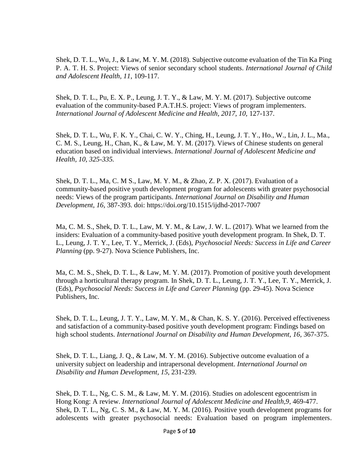Shek, D. T. L., Wu, J., & Law, M. Y. M. (2018). Subjective outcome evaluation of the Tin Ka Ping P. A. T. H. S. Project: Views of senior secondary school students. *International Journal of Child and Adolescent Health, 11*, 109-117.

Shek, D. T. L., Pu, E. X. P., Leung, J. T. Y., & Law, M. Y. M. (2017). Subjective outcome evaluation of the community-based P.A.T.H.S. project: Views of program implementers. International Journal of Adolescent Medicine and Health, 2017, 10, 127-137.

Shek, D. T. L., Wu, F. K. Y., Chai, C. W. Y., Ching, H., Leung, J. T. Y., Ho., W., Lin, J. L., Ma., C. M. S., Leung, H., Chan, K., & Law, M. Y. M. (2017). Views of Chinese students on general education based on individual interviews. *International Journal of Adolescent Medicine and Health, 10, 325-335.*

Shek, D. T. L., Ma, C. M S., Law, M. Y. M., & Zhao, Z. P. X. (2017). Evaluation of a community-based positive youth development program for adolescents with greater psychosocial needs: Views of the program participants. *International Journal on Disability and Human Development, 16,* 387-393. doi: <https://doi.org/10.1515/ijdhd-2017-7007>

Ma, C. M. S., Shek, D. T. L., Law, M. Y. M., & Law, J. W. L. (2017). What we learned from the insiders: Evaluation of a community-based positive youth development program. In Shek, D. T. L., Leung, J. T. Y., Lee, T. Y., Merrick, J. (Eds), *Psychosocial Needs: Success in Life and Career Planning* (pp. 9-27). Nova Science Publishers, Inc.

Ma, C. M. S., Shek, D. T. L., & Law, M. Y. M. (2017). Promotion of positive youth development through a horticultural therapy program. In Shek, D. T. L., Leung, J. T. Y., Lee, T. Y., Merrick, J. (Eds), *Psychosocial Needs: Success in Life and Career Planning* (pp. 29-45). Nova Science Publishers, Inc.

Shek, D. T. L., Leung, J. T. Y., Law, M. Y. M., & Chan, K. S. Y. (2016). Perceived effectiveness and satisfaction of a community-based positive youth development program: Findings based on high school students. *International Journal on Disability and Human Development, 16,* 367-375.

Shek, D. T. L., Liang, J. Q., & Law, M. Y. M. (2016). Subjective outcome evaluation of a university subject on leadership and intrapersonal development. *International Journal on Disability and Human Development, 15*, 231-239.

Shek, D. T. L., Ng, C. S. M., & Law, M. Y. M. (2016). Studies on adolescent egocentrism in Hong Kong: A review. *International Journal of Adolescent Medicine and Health,9*, 469-477. Shek, D. T. L., Ng, C. S. M., & Law, M. Y. M. (2016). Positive youth development programs for adolescents with greater psychosocial needs: Evaluation based on program implementers.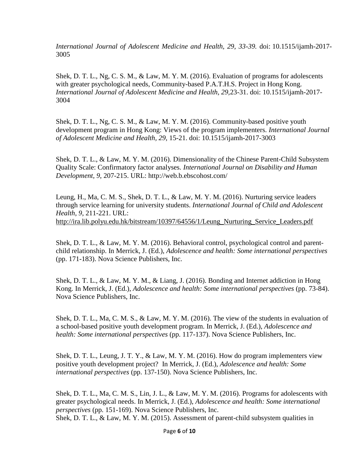*International Journal of Adolescent Medicine and Health, 29, 33-39.* doi: 10.1515/ijamh-2017- 3005

Shek, D. T. L., Ng, C. S. M., & Law, M. Y. M. (2016). Evaluation of programs for adolescents with greater psychological needs, Community-based P.A.T.H.S. Project in Hong Kong. *International Journal of Adolescent Medicine and Health, 29,*23-31. doi: 10.1515/ijamh-2017- 3004

Shek, D. T. L., Ng, C. S. M., & Law, M. Y. M. (2016). Community-based positive youth development program in Hong Kong: Views of the program implementers. *International Journal of Adolescent Medicine and Health, 29,* 15-21. doi: 10.1515/ijamh-2017-3003

Shek, D. T. L., & Law, M. Y. M. (2016). Dimensionality of the Chinese Parent-Child Subsystem Quality Scale: Confirmatory factor analyses*. International Journal on Disability and Human Development, 9*, 207-215. URL: http://web.b.ebscohost.com/

Leung, H., Ma, C. M. S., Shek, D. T. L., & Law, M. Y. M. (2016). Nurturing service leaders through service learning for university students. *International Journal of Child and Adolescent Health*, *9*, 211-221. URL: [http://ira.lib.polyu.edu.hk/bitstream/10397/64556/1/Leung\\_Nurturing\\_Service\\_Leaders.pdf](http://ira.lib.polyu.edu.hk/bitstream/10397/64556/1/Leung_Nurturing_Service_Leaders.pdf)

Shek, D. T. L., & Law, M. Y. M. (2016). Behavioral control, psychological control and parentchild relationship. In Merrick, J. (Ed.), *Adolescence and health: Some international perspectives* (pp. 171-183). Nova Science Publishers, Inc.

Shek, D. T. L., & Law, M. Y. M., & Liang, J. (2016). Bonding and Internet addiction in Hong Kong. In Merrick, J. (Ed.), *Adolescence and health: Some international perspectives* (pp. 73-84). Nova Science Publishers, Inc.

Shek, D. T. L., Ma, C. M. S., & Law, M. Y. M. (2016). The view of the students in evaluation of a school-based positive youth development program. In Merrick, J. (Ed.), *Adolescence and health: Some international perspectives* (pp. 117-137). Nova Science Publishers, Inc.

Shek, D. T. L., Leung, J. T. Y., & Law, M. Y. M. (2016). How do program implementers view positive youth development project? In Merrick, J. (Ed.), *Adolescence and health: Some international perspectives* (pp. 137-150). Nova Science Publishers, Inc.

Shek, D. T. L., Ma, C. M. S., Lin, J. L., & Law, M. Y. M. (2016). Programs for adolescents with greater psychological needs. In Merrick, J. (Ed.), *Adolescence and health: Some international perspectives* (pp. 151-169). Nova Science Publishers, Inc. Shek, D. T. L., & Law, M. Y. M. (2015). Assessment of parent-child subsystem qualities in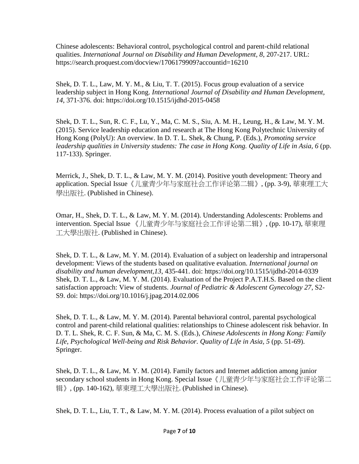Chinese adolescents: Behavioral control, psychological control and parent-child relational qualities. *International Journal on Disability and Human Development, 8*, 207-217. URL: https://search.proquest.com/docview/1706179909?accountid=16210

Shek, D. T. L., Law, M. Y. M., & Liu, T. T. (2015). Focus group evaluation of a service leadership subject in Hong Kong. *International Journal of Disability and Human Development, 14*, 371-376. doi:<https://doi.org/10.1515/ijdhd-2015-0458>

Shek, D. T. L., Sun, R. C. F., Lu, Y., Ma, C. M. S., Siu, A. M. H., Leung, H., & Law, M. Y. M. (2015). Service leadership education and research at The Hong Kong Polytechnic University of Hong Kong (PolyU): An overview. In D. T. L. Shek, & Chung, P. (Eds.), *Promoting service leadership qualities in University students: The case in Hong Kong. Quality of Life in Asia, 6* (pp. 117-133). Springer.

Merrick, J., Shek, D. T. L., & Law, M. Y. M. (2014). Positive youth development: Theory and application. Special Issue《儿童青少年与家庭社会工作评论第二辑》, (pp. 3-9), 華東理工大 學出版社. (Published in Chinese).

Omar, H., Shek, D. T. L., & Law, M. Y. M. (2014). Understanding Adolescents: Problems and intervention. Special Issue 《儿童青少年与家庭社会工作评论第二辑》, (pp. 10-17), 華東理 工大學出版社. (Published in Chinese).

Shek, D. T. L., & Law, M. Y. M. (2014). Evaluation of a subject on leadership and intrapersonal development: Views of the students based on qualitative evaluation. *International journal on disability and human development,13*, 435-441. doi:<https://doi.org/10.1515/ijdhd-2014-0339> Shek, D. T. L., & Law, M. Y. M. (2014). Evaluation of the Project P.A.T.H.S. Based on the client satisfaction approach: View of students. *Journal of Pediatric & Adolescent Gynecology 27*, S2- S9. doi: https://doi.org/10.1016/j.jpag.2014.02.006

Shek, D. T. L., & Law, M. Y. M. (2014). Parental behavioral control, parental psychological control and parent-child relational qualities: relationships to Chinese adolescent risk behavior. In D. T. L. Shek, R. C. F. Sun, & Ma, C. M. S. (Eds.), *Chinese Adolescents in Hong Kong: Family Life, Psychological Well-being and Risk Behavior. Quality of Life in Asia, 5* (pp. 51-69). Springer.

Shek, D. T. L., & Law, M. Y. M. (2014). Family factors and Internet addiction among junior secondary school students in Hong Kong. Special Issue《儿童青少年与家庭社会工作评论第二 辑》, (pp. 140-162), 華東理工大學出版社. (Published in Chinese).

Shek, D. T. L., Liu, T. T., & Law, M. Y. M. (2014). Process evaluation of a pilot subject on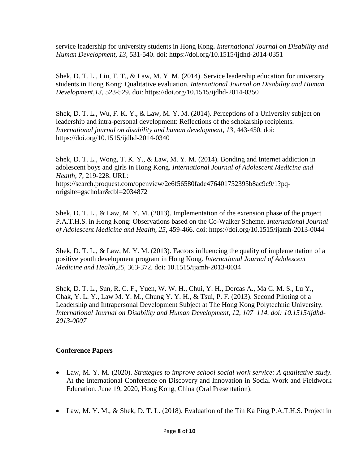service leadership for university students in Hong Kong**.** *International Journal on Disability and Human Development, 13,* 531-540. doi: <https://doi.org/10.1515/ijdhd-2014-0351>

Shek, D. T. L., Liu, T. T., & Law, M. Y. M. (2014). Service leadership education for university students in Hong Kong: Qualitative evaluation. *International Journal on Disability and Human Development,13*, 523-529. doi:<https://doi.org/10.1515/ijdhd-2014-0350>

Shek, D. T. L., Wu, F. K. Y., & Law, M. Y. M. (2014). Perceptions of a University subject on leadership and intra-personal development: Reflections of the scholarship recipients. *International journal on disability and human development, 13*, 443-450*.* doi: <https://doi.org/10.1515/ijdhd-2014-0340>

Shek, D. T. L., Wong, T. K. Y., & Law, M. Y. M. (2014). Bonding and Internet addiction in adolescent boys and girls in Hong Kong. *International Journal of Adolescent Medicine and Health, 7*, 219-228. URL: https://search.proquest.com/openview/2e6f56580fade476401752395b8ac9c9/1?pqorigsite=gscholar&cbl=2034872

Shek, D. T. L., & Law, M. Y. M. (2013). Implementation of the extension phase of the project P.A.T.H.S. in Hong Kong: Observations based on the Co-Walker Scheme. *International Journal of Adolescent Medicine and Health, 25*, 459-466*.* doi:<https://doi.org/10.1515/ijamh-2013-0044>

Shek, D. T. L., & Law, M. Y. M. (2013). Factors influencing the quality of implementation of a positive youth development program in Hong Kong. *International Journal of Adolescent Medicine and Health,25,* 363-372*.* doi: [10.1515/ijamh-2013-0034](http://dx.doi.org/10.1515/ijamh-2013-0034)

Shek, D. T. L., Sun, R. C. F., Yuen, W. W. H., Chui, Y. H., Dorcas A., Ma C. M. S., Lu Y., Chak, Y. L. Y., Law M. Y. M., Chung Y. Y. H., & Tsui, P. F. (2013). Second Piloting of a Leadership and Intrapersonal Development Subject at The Hong Kong Polytechnic University*. International Journal on Disability and Human Development, 12, 107–114. doi: 10.1515/ijdhd-2013-0007*

#### **Conference Papers**

- Law, M. Y. M. (2020). *Strategies to improve school social work service: A qualitative study.* At the International Conference on Discovery and Innovation in Social Work and Fieldwork Education. June 19, 2020, Hong Kong, China (Oral Presentation).
- Law, M. Y. M., & Shek, D. T. L. (2018). Evaluation of the Tin Ka Ping P.A.T.H.S. Project in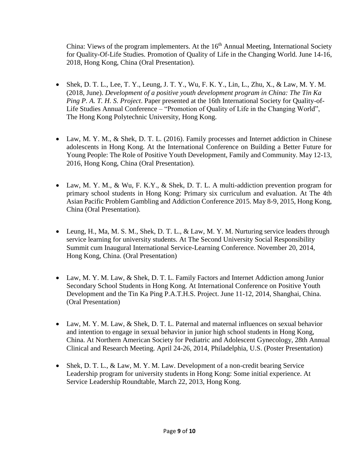China: Views of the program implementers. At the  $16<sup>th</sup>$  Annual Meeting, International Society for Quality-Of-Life Studies. Promotion of Quality of Life in the Changing World. June 14-16, 2018, Hong Kong, China (Oral Presentation).

- Shek, D. T. L., Lee, T. Y., Leung, J. T. Y., Wu, F. K. Y., Lin, L., Zhu, X., & Law, M. Y. M. (2018, June). *Development of a positive youth development program in China: The Tin Ka Ping P. A. T. H. S. Project*. Paper presented at the 16th International Society for Quality-of-Life Studies Annual Conference – "Promotion of Quality of Life in the Changing World", The Hong Kong Polytechnic University, Hong Kong.
- Law, M. Y. M., & Shek, D. T. L. (2016). Family processes and Internet addiction in Chinese adolescents in Hong Kong. At the International Conference on Building a Better Future for Young People: The Role of Positive Youth Development, Family and Community. May 12-13, 2016, Hong Kong, China (Oral Presentation).
- Law, M. Y. M., & Wu, F. K.Y., & Shek, D. T. L. A multi-addiction prevention program for primary school students in Hong Kong: Primary six curriculum and evaluation. At The 4th Asian Pacific Problem Gambling and Addiction Conference 2015. May 8-9, 2015, Hong Kong, China (Oral Presentation).
- Leung, H., Ma, M. S. M., Shek, D. T. L., & Law, M. Y. M. Nurturing service leaders through service learning for university students. At The Second University Social Responsibility Summit cum Inaugural International Service-Learning Conference. November 20, 2014, Hong Kong, China. (Oral Presentation)
- Law, M. Y. M. Law, & Shek, D. T. L. Family Factors and Internet Addiction among Junior Secondary School Students in Hong Kong. At International Conference on Positive Youth Development and the Tin Ka Ping P.A.T.H.S. Project. June 11-12, 2014, Shanghai, China. (Oral Presentation)
- Law, M. Y. M. Law, & Shek, D. T. L. Paternal and maternal influences on sexual behavior and intention to engage in sexual behavior in junior high school students in Hong Kong, China. At Northern American Society for Pediatric and Adolescent Gynecology, 28th Annual Clinical and Research Meeting. April 24-26, 2014, Philadelphia, U.S. (Poster Presentation)
- Shek, D. T. L., & Law, M. Y. M. Law. Development of a non-credit bearing Service Leadership program for university students in Hong Kong: Some initial experience. At Service Leadership Roundtable, March 22, 2013, Hong Kong.